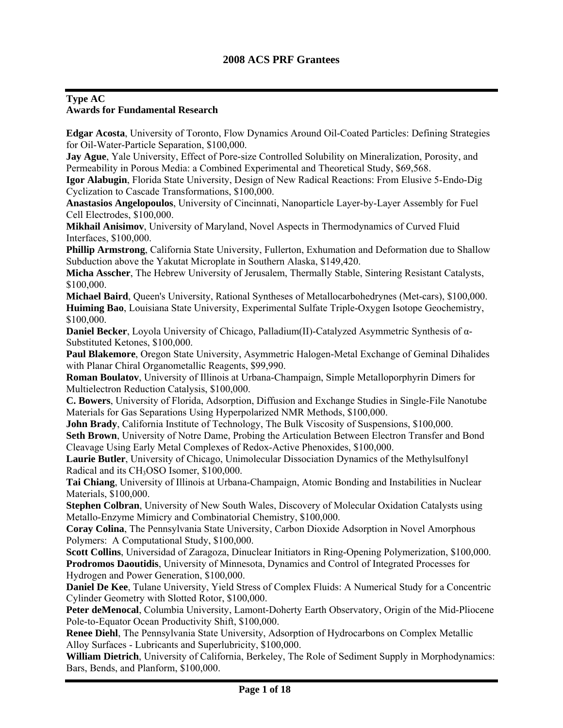#### **Type AC Awards for Fundamental Research**

**Edgar Acosta**, University of Toronto, Flow Dynamics Around Oil-Coated Particles: Defining Strategies for Oil-Water-Particle Separation, \$100,000.

**Jay Ague**, Yale University, Effect of Pore-size Controlled Solubility on Mineralization, Porosity, and Permeability in Porous Media: a Combined Experimental and Theoretical Study, \$69,568.

**Igor Alabugin**, Florida State University, Design of New Radical Reactions: From Elusive 5-Endo-Dig Cyclization to Cascade Transformations, \$100,000.

**Anastasios Angelopoulos**, University of Cincinnati, Nanoparticle Layer-by-Layer Assembly for Fuel Cell Electrodes, \$100,000.

**Mikhail Anisimov**, University of Maryland, Novel Aspects in Thermodynamics of Curved Fluid Interfaces, \$100,000.

**Phillip Armstrong**, California State University, Fullerton, Exhumation and Deformation due to Shallow Subduction above the Yakutat Microplate in Southern Alaska, \$149,420.

**Micha Asscher**, The Hebrew University of Jerusalem, Thermally Stable, Sintering Resistant Catalysts, \$100,000.

**Michael Baird**, Queen's University, Rational Syntheses of Metallocarbohedrynes (Met-cars), \$100,000. **Huiming Bao**, Louisiana State University, Experimental Sulfate Triple-Oxygen Isotope Geochemistry, \$100,000.

**Daniel Becker**, Loyola University of Chicago, Palladium(II)-Catalyzed Asymmetric Synthesis of α-Substituted Ketones, \$100,000.

**Paul Blakemore**, Oregon State University, Asymmetric Halogen-Metal Exchange of Geminal Dihalides with Planar Chiral Organometallic Reagents, \$99,990.

**Roman Boulatov**, University of Illinois at Urbana-Champaign, Simple Metalloporphyrin Dimers for Multielectron Reduction Catalysis, \$100,000.

**C. Bowers**, University of Florida, Adsorption, Diffusion and Exchange Studies in Single-File Nanotube Materials for Gas Separations Using Hyperpolarized NMR Methods, \$100,000.

**John Brady**, California Institute of Technology, The Bulk Viscosity of Suspensions, \$100,000.

**Seth Brown**, University of Notre Dame, Probing the Articulation Between Electron Transfer and Bond Cleavage Using Early Metal Complexes of Redox-Active Phenoxides, \$100,000.

**Laurie Butler**, University of Chicago, Unimolecular Dissociation Dynamics of the Methylsulfonyl Radical and its CH<sub>3</sub>OSO Isomer, \$100,000.

**Tai Chiang**, University of Illinois at Urbana-Champaign, Atomic Bonding and Instabilities in Nuclear Materials, \$100,000.

**Stephen Colbran**, University of New South Wales, Discovery of Molecular Oxidation Catalysts using Metallo-Enzyme Mimicry and Combinatorial Chemistry, \$100,000.

**Coray Colina**, The Pennsylvania State University, Carbon Dioxide Adsorption in Novel Amorphous Polymers: A Computational Study, \$100,000.

**Scott Collins**, Universidad of Zaragoza, Dinuclear Initiators in Ring-Opening Polymerization, \$100,000. **Prodromos Daoutidis**, University of Minnesota, Dynamics and Control of Integrated Processes for Hydrogen and Power Generation, \$100,000.

**Daniel De Kee**, Tulane University, Yield Stress of Complex Fluids: A Numerical Study for a Concentric Cylinder Geometry with Slotted Rotor, \$100,000.

**Peter deMenocal**, Columbia University, Lamont-Doherty Earth Observatory, Origin of the Mid-Pliocene Pole-to-Equator Ocean Productivity Shift, \$100,000.

**Renee Diehl**, The Pennsylvania State University, Adsorption of Hydrocarbons on Complex Metallic Alloy Surfaces - Lubricants and Superlubricity, \$100,000.

**William Dietrich**, University of California, Berkeley, The Role of Sediment Supply in Morphodynamics: Bars, Bends, and Planform, \$100,000.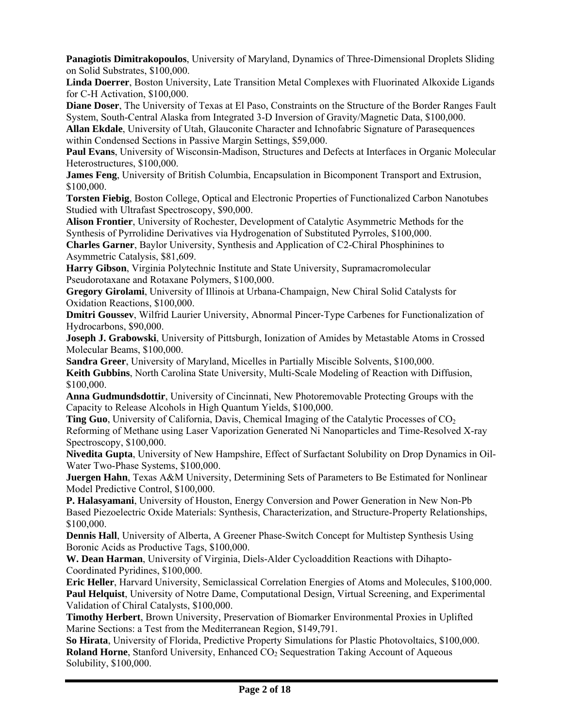**Panagiotis Dimitrakopoulos**, University of Maryland, Dynamics of Three-Dimensional Droplets Sliding on Solid Substrates, \$100,000.

**Linda Doerrer**, Boston University, Late Transition Metal Complexes with Fluorinated Alkoxide Ligands for C-H Activation, \$100,000.

**Diane Doser**, The University of Texas at El Paso, Constraints on the Structure of the Border Ranges Fault System, South-Central Alaska from Integrated 3-D Inversion of Gravity/Magnetic Data, \$100,000.

**Allan Ekdale**, University of Utah, Glauconite Character and Ichnofabric Signature of Parasequences within Condensed Sections in Passive Margin Settings, \$59,000.

**Paul Evans**, University of Wisconsin-Madison, Structures and Defects at Interfaces in Organic Molecular Heterostructures, \$100,000.

**James Feng**, University of British Columbia, Encapsulation in Bicomponent Transport and Extrusion, \$100,000.

**Torsten Fiebig**, Boston College, Optical and Electronic Properties of Functionalized Carbon Nanotubes Studied with Ultrafast Spectroscopy, \$90,000.

**Alison Frontier**, University of Rochester, Development of Catalytic Asymmetric Methods for the Synthesis of Pyrrolidine Derivatives via Hydrogenation of Substituted Pyrroles, \$100,000.

**Charles Garner**, Baylor University, Synthesis and Application of C2-Chiral Phosphinines to Asymmetric Catalysis, \$81,609.

**Harry Gibson**, Virginia Polytechnic Institute and State University, Supramacromolecular Pseudorotaxane and Rotaxane Polymers, \$100,000.

**Gregory Girolami**, University of Illinois at Urbana-Champaign, New Chiral Solid Catalysts for Oxidation Reactions, \$100,000.

**Dmitri Goussev**, Wilfrid Laurier University, Abnormal Pincer-Type Carbenes for Functionalization of Hydrocarbons, \$90,000.

**Joseph J. Grabowski**, University of Pittsburgh, Ionization of Amides by Metastable Atoms in Crossed Molecular Beams, \$100,000.

**Sandra Greer**, University of Maryland, Micelles in Partially Miscible Solvents, \$100,000. **Keith Gubbins**, North Carolina State University, Multi-Scale Modeling of Reaction with Diffusion, \$100,000.

**Anna Gudmundsdottir**, University of Cincinnati, New Photoremovable Protecting Groups with the Capacity to Release Alcohols in High Quantum Yields, \$100,000.

**Ting Guo**, University of California, Davis, Chemical Imaging of the Catalytic Processes of CO<sub>2</sub> Reforming of Methane using Laser Vaporization Generated Ni Nanoparticles and Time-Resolved X-ray Spectroscopy, \$100,000.

**Nivedita Gupta**, University of New Hampshire, Effect of Surfactant Solubility on Drop Dynamics in Oil-Water Two-Phase Systems, \$100,000.

**Juergen Hahn**, Texas A&M University, Determining Sets of Parameters to Be Estimated for Nonlinear Model Predictive Control, \$100,000.

**P. Halasyamani**, University of Houston, Energy Conversion and Power Generation in New Non-Pb Based Piezoelectric Oxide Materials: Synthesis, Characterization, and Structure-Property Relationships, \$100,000.

**Dennis Hall**, University of Alberta, A Greener Phase-Switch Concept for Multistep Synthesis Using Boronic Acids as Productive Tags, \$100,000.

**W. Dean Harman**, University of Virginia, Diels-Alder Cycloaddition Reactions with Dihapto-Coordinated Pyridines, \$100,000.

**Eric Heller**, Harvard University, Semiclassical Correlation Energies of Atoms and Molecules, \$100,000. **Paul Helquist**, University of Notre Dame, Computational Design, Virtual Screening, and Experimental Validation of Chiral Catalysts, \$100,000.

**Timothy Herbert**, Brown University, Preservation of Biomarker Environmental Proxies in Uplifted Marine Sections: a Test from the Mediterranean Region, \$149,791.

**So Hirata**, University of Florida, Predictive Property Simulations for Plastic Photovoltaics, \$100,000. **Roland Horne**, Stanford University, Enhanced CO<sub>2</sub> Sequestration Taking Account of Aqueous Solubility, \$100,000.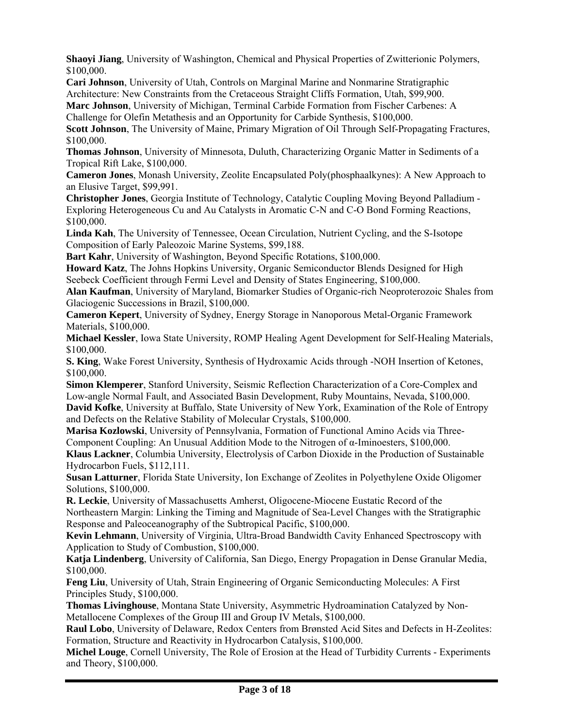**Shaoyi Jiang**, University of Washington, Chemical and Physical Properties of Zwitterionic Polymers, \$100,000.

**Cari Johnson**, University of Utah, Controls on Marginal Marine and Nonmarine Stratigraphic Architecture: New Constraints from the Cretaceous Straight Cliffs Formation, Utah, \$99,900.

**Marc Johnson**, University of Michigan, Terminal Carbide Formation from Fischer Carbenes: A Challenge for Olefin Metathesis and an Opportunity for Carbide Synthesis, \$100,000.

**Scott Johnson**, The University of Maine, Primary Migration of Oil Through Self-Propagating Fractures, \$100,000.

**Thomas Johnson**, University of Minnesota, Duluth, Characterizing Organic Matter in Sediments of a Tropical Rift Lake, \$100,000.

**Cameron Jones**, Monash University, Zeolite Encapsulated Poly(phosphaalkynes): A New Approach to an Elusive Target, \$99,991.

**Christopher Jones**, Georgia Institute of Technology, Catalytic Coupling Moving Beyond Palladium - Exploring Heterogeneous Cu and Au Catalysts in Aromatic C-N and C-O Bond Forming Reactions, \$100,000.

**Linda Kah**, The University of Tennessee, Ocean Circulation, Nutrient Cycling, and the S-Isotope Composition of Early Paleozoic Marine Systems, \$99,188.

**Bart Kahr**, University of Washington, Beyond Specific Rotations, \$100,000.

**Howard Katz**, The Johns Hopkins University, Organic Semiconductor Blends Designed for High Seebeck Coefficient through Fermi Level and Density of States Engineering, \$100,000.

**Alan Kaufman**, University of Maryland, Biomarker Studies of Organic-rich Neoproterozoic Shales from Glaciogenic Successions in Brazil, \$100,000.

**Cameron Kepert**, University of Sydney, Energy Storage in Nanoporous Metal-Organic Framework Materials, \$100,000.

**Michael Kessler**, Iowa State University, ROMP Healing Agent Development for Self-Healing Materials, \$100,000.

**S. King**, Wake Forest University, Synthesis of Hydroxamic Acids through -NOH Insertion of Ketones, \$100,000.

**Simon Klemperer**, Stanford University, Seismic Reflection Characterization of a Core-Complex and Low-angle Normal Fault, and Associated Basin Development, Ruby Mountains, Nevada, \$100,000. **David Kofke**, University at Buffalo, State University of New York, Examination of the Role of Entropy and Defects on the Relative Stability of Molecular Crystals, \$100,000.

**Marisa Kozlowski**, University of Pennsylvania, Formation of Functional Amino Acids via Three-Component Coupling: An Unusual Addition Mode to the Nitrogen of  $\alpha$ -Iminoesters, \$100,000.

**Klaus Lackner**, Columbia University, Electrolysis of Carbon Dioxide in the Production of Sustainable Hydrocarbon Fuels, \$112,111.

**Susan Latturner**, Florida State University, Ion Exchange of Zeolites in Polyethylene Oxide Oligomer Solutions, \$100,000.

**R. Leckie**, University of Massachusetts Amherst, Oligocene-Miocene Eustatic Record of the Northeastern Margin: Linking the Timing and Magnitude of Sea-Level Changes with the Stratigraphic Response and Paleoceanography of the Subtropical Pacific, \$100,000.

**Kevin Lehmann**, University of Virginia, Ultra-Broad Bandwidth Cavity Enhanced Spectroscopy with Application to Study of Combustion, \$100,000.

**Katja Lindenberg**, University of California, San Diego, Energy Propagation in Dense Granular Media, \$100,000.

**Feng Liu**, University of Utah, Strain Engineering of Organic Semiconducting Molecules: A First Principles Study, \$100,000.

**Thomas Livinghouse**, Montana State University, Asymmetric Hydroamination Catalyzed by Non-Metallocene Complexes of the Group III and Group IV Metals, \$100,000.

**Raul Lobo**, University of Delaware, Redox Centers from Brønsted Acid Sites and Defects in H-Zeolites: Formation, Structure and Reactivity in Hydrocarbon Catalysis, \$100,000.

**Michel Louge**, Cornell University, The Role of Erosion at the Head of Turbidity Currents - Experiments and Theory, \$100,000.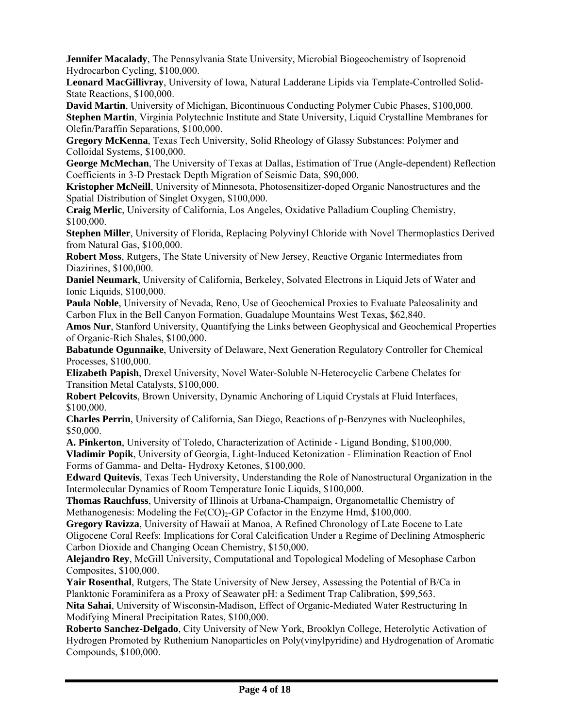**Jennifer Macalady**, The Pennsylvania State University, Microbial Biogeochemistry of Isoprenoid Hydrocarbon Cycling, \$100,000.

**Leonard MacGillivray**, University of Iowa, Natural Ladderane Lipids via Template-Controlled Solid-State Reactions, \$100,000.

**David Martin**, University of Michigan, Bicontinuous Conducting Polymer Cubic Phases, \$100,000. **Stephen Martin**, Virginia Polytechnic Institute and State University, Liquid Crystalline Membranes for Olefin/Paraffin Separations, \$100,000.

**Gregory McKenna**, Texas Tech University, Solid Rheology of Glassy Substances: Polymer and Colloidal Systems, \$100,000.

**George McMechan**, The University of Texas at Dallas, Estimation of True (Angle-dependent) Reflection Coefficients in 3-D Prestack Depth Migration of Seismic Data, \$90,000.

**Kristopher McNeill**, University of Minnesota, Photosensitizer-doped Organic Nanostructures and the Spatial Distribution of Singlet Oxygen, \$100,000.

**Craig Merlic**, University of California, Los Angeles, Oxidative Palladium Coupling Chemistry, \$100,000.

**Stephen Miller**, University of Florida, Replacing Polyvinyl Chloride with Novel Thermoplastics Derived from Natural Gas, \$100,000.

**Robert Moss**, Rutgers, The State University of New Jersey, Reactive Organic Intermediates from Diazirines, \$100,000.

**Daniel Neumark**, University of California, Berkeley, Solvated Electrons in Liquid Jets of Water and Ionic Liquids, \$100,000.

**Paula Noble**, University of Nevada, Reno, Use of Geochemical Proxies to Evaluate Paleosalinity and Carbon Flux in the Bell Canyon Formation, Guadalupe Mountains West Texas, \$62,840.

**Amos Nur**, Stanford University, Quantifying the Links between Geophysical and Geochemical Properties of Organic-Rich Shales, \$100,000.

**Babatunde Ogunnaike**, University of Delaware, Next Generation Regulatory Controller for Chemical Processes, \$100,000.

**Elizabeth Papish**, Drexel University, Novel Water-Soluble N-Heterocyclic Carbene Chelates for Transition Metal Catalysts, \$100,000.

**Robert Pelcovits**, Brown University, Dynamic Anchoring of Liquid Crystals at Fluid Interfaces, \$100,000.

**Charles Perrin**, University of California, San Diego, Reactions of p-Benzynes with Nucleophiles, \$50,000.

**A. Pinkerton**, University of Toledo, Characterization of Actinide - Ligand Bonding, \$100,000. **Vladimir Popik**, University of Georgia, Light-Induced Ketonization - Elimination Reaction of Enol Forms of Gamma- and Delta- Hydroxy Ketones, \$100,000.

**Edward Quitevis**, Texas Tech University, Understanding the Role of Nanostructural Organization in the Intermolecular Dynamics of Room Temperature Ionic Liquids, \$100,000.

**Thomas Rauchfuss**, University of Illinois at Urbana-Champaign, Organometallic Chemistry of Methanogenesis: Modeling the Fe(CO) $_2$ -GP Cofactor in the Enzyme Hmd, \$100,000.

**Gregory Ravizza**, University of Hawaii at Manoa, A Refined Chronology of Late Eocene to Late Oligocene Coral Reefs: Implications for Coral Calcification Under a Regime of Declining Atmospheric Carbon Dioxide and Changing Ocean Chemistry, \$150,000.

**Alejandro Rey**, McGill University, Computational and Topological Modeling of Mesophase Carbon Composites, \$100,000.

**Yair Rosenthal**, Rutgers, The State University of New Jersey, Assessing the Potential of B/Ca in Planktonic Foraminifera as a Proxy of Seawater pH: a Sediment Trap Calibration, \$99,563.

**Nita Sahai**, University of Wisconsin-Madison, Effect of Organic-Mediated Water Restructuring In Modifying Mineral Precipitation Rates, \$100,000.

**Roberto Sanchez-Delgado**, City University of New York, Brooklyn College, Heterolytic Activation of Hydrogen Promoted by Ruthenium Nanoparticles on Poly(vinylpyridine) and Hydrogenation of Aromatic Compounds, \$100,000.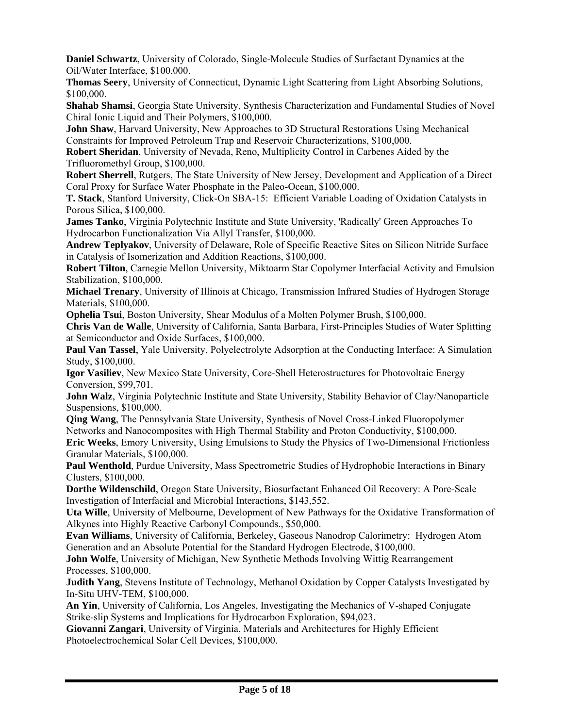**Daniel Schwartz**, University of Colorado, Single-Molecule Studies of Surfactant Dynamics at the Oil/Water Interface, \$100,000.

**Thomas Seery**, University of Connecticut, Dynamic Light Scattering from Light Absorbing Solutions, \$100,000.

**Shahab Shamsi**, Georgia State University, Synthesis Characterization and Fundamental Studies of Novel Chiral Ionic Liquid and Their Polymers, \$100,000.

**John Shaw**, Harvard University, New Approaches to 3D Structural Restorations Using Mechanical Constraints for Improved Petroleum Trap and Reservoir Characterizations, \$100,000.

**Robert Sheridan**, University of Nevada, Reno, Multiplicity Control in Carbenes Aided by the Trifluoromethyl Group, \$100,000.

**Robert Sherrell**, Rutgers, The State University of New Jersey, Development and Application of a Direct Coral Proxy for Surface Water Phosphate in the Paleo-Ocean, \$100,000.

**T. Stack**, Stanford University, Click-On SBA-15: Efficient Variable Loading of Oxidation Catalysts in Porous Silica, \$100,000.

**James Tanko**, Virginia Polytechnic Institute and State University, 'Radically' Green Approaches To Hydrocarbon Functionalization Via Allyl Transfer, \$100,000.

**Andrew Teplyakov**, University of Delaware, Role of Specific Reactive Sites on Silicon Nitride Surface in Catalysis of Isomerization and Addition Reactions, \$100,000.

**Robert Tilton**, Carnegie Mellon University, Miktoarm Star Copolymer Interfacial Activity and Emulsion Stabilization, \$100,000.

**Michael Trenary**, University of Illinois at Chicago, Transmission Infrared Studies of Hydrogen Storage Materials, \$100,000.

**Ophelia Tsui**, Boston University, Shear Modulus of a Molten Polymer Brush, \$100,000.

**Chris Van de Walle**, University of California, Santa Barbara, First-Principles Studies of Water Splitting at Semiconductor and Oxide Surfaces, \$100,000.

**Paul Van Tassel**, Yale University, Polyelectrolyte Adsorption at the Conducting Interface: A Simulation Study, \$100,000.

**Igor Vasiliev**, New Mexico State University, Core-Shell Heterostructures for Photovoltaic Energy Conversion, \$99,701.

**John Walz**, Virginia Polytechnic Institute and State University, Stability Behavior of Clay/Nanoparticle Suspensions, \$100,000.

**Qing Wang**, The Pennsylvania State University, Synthesis of Novel Cross-Linked Fluoropolymer Networks and Nanocomposites with High Thermal Stability and Proton Conductivity, \$100,000.

**Eric Weeks**, Emory University, Using Emulsions to Study the Physics of Two-Dimensional Frictionless Granular Materials, \$100,000.

**Paul Wenthold**, Purdue University, Mass Spectrometric Studies of Hydrophobic Interactions in Binary Clusters, \$100,000.

**Dorthe Wildenschild**, Oregon State University, Biosurfactant Enhanced Oil Recovery: A Pore-Scale Investigation of Interfacial and Microbial Interactions, \$143,552.

**Uta Wille**, University of Melbourne, Development of New Pathways for the Oxidative Transformation of Alkynes into Highly Reactive Carbonyl Compounds., \$50,000.

**Evan Williams**, University of California, Berkeley, Gaseous Nanodrop Calorimetry: Hydrogen Atom Generation and an Absolute Potential for the Standard Hydrogen Electrode, \$100,000.

**John Wolfe**, University of Michigan, New Synthetic Methods Involving Wittig Rearrangement Processes, \$100,000.

**Judith Yang**, Stevens Institute of Technology, Methanol Oxidation by Copper Catalysts Investigated by In-Situ UHV-TEM, \$100,000.

**An Yin**, University of California, Los Angeles, Investigating the Mechanics of V-shaped Conjugate Strike-slip Systems and Implications for Hydrocarbon Exploration, \$94,023.

**Giovanni Zangari**, University of Virginia, Materials and Architectures for Highly Efficient Photoelectrochemical Solar Cell Devices, \$100,000.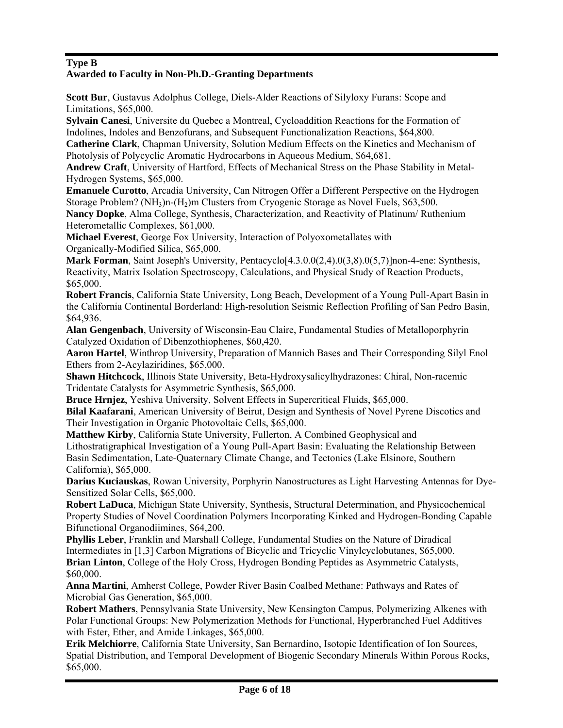#### **Type B Awarded to Faculty in Non-Ph.D.-Granting Departments**

**Scott Bur**, Gustavus Adolphus College, Diels-Alder Reactions of Silyloxy Furans: Scope and Limitations, \$65,000.

**Sylvain Canesi**, Universite du Quebec a Montreal, Cycloaddition Reactions for the Formation of Indolines, Indoles and Benzofurans, and Subsequent Functionalization Reactions, \$64,800.

**Catherine Clark**, Chapman University, Solution Medium Effects on the Kinetics and Mechanism of Photolysis of Polycyclic Aromatic Hydrocarbons in Aqueous Medium, \$64,681.

**Andrew Craft**, University of Hartford, Effects of Mechanical Stress on the Phase Stability in Metal-Hydrogen Systems, \$65,000.

**Emanuele Curotto**, Arcadia University, Can Nitrogen Offer a Different Perspective on the Hydrogen Storage Problem? ( $NH<sub>3</sub>$ )n- $(H<sub>2</sub>)$ m Clusters from Cryogenic Storage as Novel Fuels, \$63,500.

**Nancy Dopke**, Alma College, Synthesis, Characterization, and Reactivity of Platinum/ Ruthenium Heterometallic Complexes, \$61,000.

**Michael Everest**, George Fox University, Interaction of Polyoxometallates with Organically-Modified Silica, \$65,000.

**Mark Forman**, Saint Joseph's University, Pentacyclo<sup>[4.3.0.0(2.4).0(3.8).0(5.7)]non-4-ene: Synthesis,</sup> Reactivity, Matrix Isolation Spectroscopy, Calculations, and Physical Study of Reaction Products, \$65,000.

**Robert Francis**, California State University, Long Beach, Development of a Young Pull-Apart Basin in the California Continental Borderland: High-resolution Seismic Reflection Profiling of San Pedro Basin, \$64,936.

**Alan Gengenbach**, University of Wisconsin-Eau Claire, Fundamental Studies of Metalloporphyrin Catalyzed Oxidation of Dibenzothiophenes, \$60,420.

**Aaron Hartel**, Winthrop University, Preparation of Mannich Bases and Their Corresponding Silyl Enol Ethers from 2-Acylaziridines, \$65,000.

**Shawn Hitchcock**, Illinois State University, Beta-Hydroxysalicylhydrazones: Chiral, Non-racemic Tridentate Catalysts for Asymmetric Synthesis, \$65,000.

**Bruce Hrnjez**, Yeshiva University, Solvent Effects in Supercritical Fluids, \$65,000.

**Bilal Kaafarani**, American University of Beirut, Design and Synthesis of Novel Pyrene Discotics and Their Investigation in Organic Photovoltaic Cells, \$65,000.

**Matthew Kirby**, California State University, Fullerton, A Combined Geophysical and Lithostratigraphical Investigation of a Young Pull-Apart Basin: Evaluating the Relationship Between Basin Sedimentation, Late-Quaternary Climate Change, and Tectonics (Lake Elsinore, Southern California), \$65,000.

**Darius Kuciauskas**, Rowan University, Porphyrin Nanostructures as Light Harvesting Antennas for Dye-Sensitized Solar Cells, \$65,000.

**Robert LaDuca**, Michigan State University, Synthesis, Structural Determination, and Physicochemical Property Studies of Novel Coordination Polymers Incorporating Kinked and Hydrogen-Bonding Capable Bifunctional Organodiimines, \$64,200.

**Phyllis Leber**, Franklin and Marshall College, Fundamental Studies on the Nature of Diradical Intermediates in [1,3] Carbon Migrations of Bicyclic and Tricyclic Vinylcyclobutanes, \$65,000. **Brian Linton**, College of the Holy Cross, Hydrogen Bonding Peptides as Asymmetric Catalysts, \$60,000.

**Anna Martini**, Amherst College, Powder River Basin Coalbed Methane: Pathways and Rates of Microbial Gas Generation, \$65,000.

**Robert Mathers**, Pennsylvania State University, New Kensington Campus, Polymerizing Alkenes with Polar Functional Groups: New Polymerization Methods for Functional, Hyperbranched Fuel Additives with Ester, Ether, and Amide Linkages, \$65,000.

**Erik Melchiorre**, California State University, San Bernardino, Isotopic Identification of Ion Sources, Spatial Distribution, and Temporal Development of Biogenic Secondary Minerals Within Porous Rocks, \$65,000.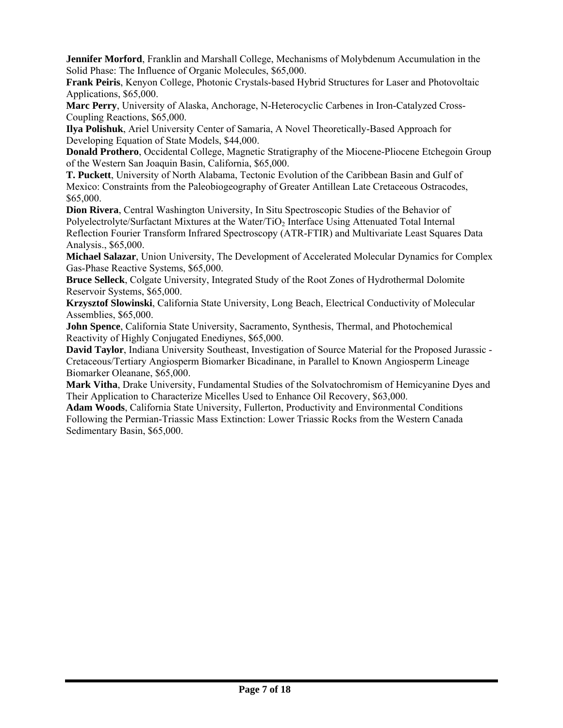**Jennifer Morford**, Franklin and Marshall College, Mechanisms of Molybdenum Accumulation in the Solid Phase: The Influence of Organic Molecules, \$65,000.

**Frank Peiris**, Kenyon College, Photonic Crystals-based Hybrid Structures for Laser and Photovoltaic Applications, \$65,000.

**Marc Perry**, University of Alaska, Anchorage, N-Heterocyclic Carbenes in Iron-Catalyzed Cross-Coupling Reactions, \$65,000.

**Ilya Polishuk**, Ariel University Center of Samaria, A Novel Theoretically-Based Approach for Developing Equation of State Models, \$44,000.

**Donald Prothero**, Occidental College, Magnetic Stratigraphy of the Miocene-Pliocene Etchegoin Group of the Western San Joaquin Basin, California, \$65,000.

**T. Puckett**, University of North Alabama, Tectonic Evolution of the Caribbean Basin and Gulf of Mexico: Constraints from the Paleobiogeography of Greater Antillean Late Cretaceous Ostracodes, \$65,000.

**Dion Rivera**, Central Washington University, In Situ Spectroscopic Studies of the Behavior of Polyelectrolyte/Surfactant Mixtures at the Water/TiO<sub>2</sub> Interface Using Attenuated Total Internal Reflection Fourier Transform Infrared Spectroscopy (ATR-FTIR) and Multivariate Least Squares Data Analysis., \$65,000.

**Michael Salazar**, Union University, The Development of Accelerated Molecular Dynamics for Complex Gas-Phase Reactive Systems, \$65,000.

**Bruce Selleck**, Colgate University, Integrated Study of the Root Zones of Hydrothermal Dolomite Reservoir Systems, \$65,000.

**Krzysztof Slowinski**, California State University, Long Beach, Electrical Conductivity of Molecular Assemblies, \$65,000.

**John Spence**, California State University, Sacramento, Synthesis, Thermal, and Photochemical Reactivity of Highly Conjugated Enediynes, \$65,000.

**David Taylor**, Indiana University Southeast, Investigation of Source Material for the Proposed Jurassic - Cretaceous/Tertiary Angiosperm Biomarker Bicadinane, in Parallel to Known Angiosperm Lineage Biomarker Oleanane, \$65,000.

**Mark Vitha**, Drake University, Fundamental Studies of the Solvatochromism of Hemicyanine Dyes and Their Application to Characterize Micelles Used to Enhance Oil Recovery, \$63,000.

**Adam Woods**, California State University, Fullerton, Productivity and Environmental Conditions Following the Permian-Triassic Mass Extinction: Lower Triassic Rocks from the Western Canada Sedimentary Basin, \$65,000.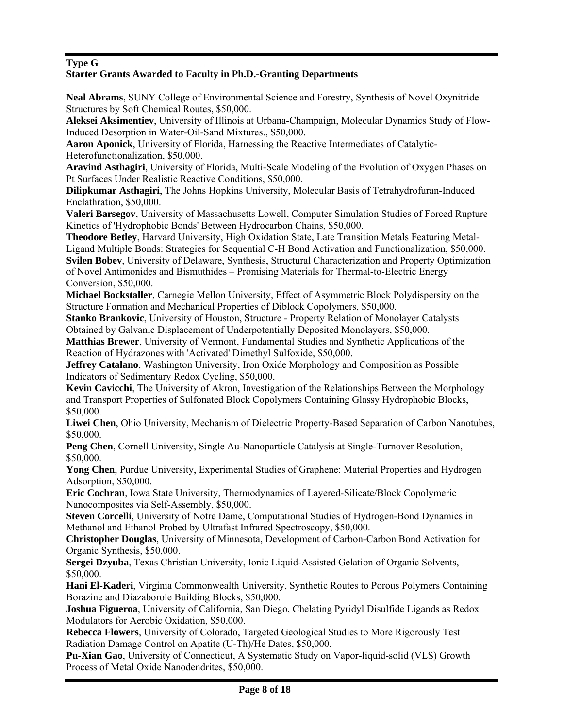### **Type G**

### **Starter Grants Awarded to Faculty in Ph.D.-Granting Departments**

**Neal Abrams**, SUNY College of Environmental Science and Forestry, Synthesis of Novel Oxynitride Structures by Soft Chemical Routes, \$50,000.

**Aleksei Aksimentiev**, University of Illinois at Urbana-Champaign, Molecular Dynamics Study of Flow-Induced Desorption in Water-Oil-Sand Mixtures., \$50,000.

**Aaron Aponick**, University of Florida, Harnessing the Reactive Intermediates of Catalytic-Heterofunctionalization, \$50,000.

**Aravind Asthagiri**, University of Florida, Multi-Scale Modeling of the Evolution of Oxygen Phases on Pt Surfaces Under Realistic Reactive Conditions, \$50,000.

**Dilipkumar Asthagiri**, The Johns Hopkins University, Molecular Basis of Tetrahydrofuran-Induced Enclathration, \$50,000.

**Valeri Barsegov**, University of Massachusetts Lowell, Computer Simulation Studies of Forced Rupture Kinetics of 'Hydrophobic Bonds' Between Hydrocarbon Chains, \$50,000.

**Theodore Betley**, Harvard University, High Oxidation State, Late Transition Metals Featuring Metal-Ligand Multiple Bonds: Strategies for Sequential C-H Bond Activation and Functionalization, \$50,000. **Svilen Bobev**, University of Delaware, Synthesis, Structural Characterization and Property Optimization of Novel Antimonides and Bismuthides – Promising Materials for Thermal-to-Electric Energy Conversion, \$50,000.

**Michael Bockstaller**, Carnegie Mellon University, Effect of Asymmetric Block Polydispersity on the Structure Formation and Mechanical Properties of Diblock Copolymers, \$50,000.

**Stanko Brankovic**, University of Houston, Structure - Property Relation of Monolayer Catalysts Obtained by Galvanic Displacement of Underpotentially Deposited Monolayers, \$50,000.

**Matthias Brewer**, University of Vermont, Fundamental Studies and Synthetic Applications of the Reaction of Hydrazones with 'Activated' Dimethyl Sulfoxide, \$50,000.

**Jeffrey Catalano**, Washington University, Iron Oxide Morphology and Composition as Possible Indicators of Sedimentary Redox Cycling, \$50,000.

**Kevin Cavicchi**, The University of Akron, Investigation of the Relationships Between the Morphology and Transport Properties of Sulfonated Block Copolymers Containing Glassy Hydrophobic Blocks, \$50,000.

**Liwei Chen**, Ohio University, Mechanism of Dielectric Property-Based Separation of Carbon Nanotubes, \$50,000.

**Peng Chen**, Cornell University, Single Au-Nanoparticle Catalysis at Single-Turnover Resolution, \$50,000.

**Yong Chen**, Purdue University, Experimental Studies of Graphene: Material Properties and Hydrogen Adsorption, \$50,000.

**Eric Cochran**, Iowa State University, Thermodynamics of Layered-Silicate/Block Copolymeric Nanocomposites via Self-Assembly, \$50,000.

**Steven Corcelli**, University of Notre Dame, Computational Studies of Hydrogen-Bond Dynamics in Methanol and Ethanol Probed by Ultrafast Infrared Spectroscopy, \$50,000.

**Christopher Douglas**, University of Minnesota, Development of Carbon-Carbon Bond Activation for Organic Synthesis, \$50,000.

**Sergei Dzyuba**, Texas Christian University, Ionic Liquid-Assisted Gelation of Organic Solvents, \$50,000.

**Hani El-Kaderi**, Virginia Commonwealth University, Synthetic Routes to Porous Polymers Containing Borazine and Diazaborole Building Blocks, \$50,000.

**Joshua Figueroa**, University of California, San Diego, Chelating Pyridyl Disulfide Ligands as Redox Modulators for Aerobic Oxidation, \$50,000.

**Rebecca Flowers**, University of Colorado, Targeted Geological Studies to More Rigorously Test Radiation Damage Control on Apatite (U-Th)/He Dates, \$50,000.

**Pu-Xian Gao**, University of Connecticut, A Systematic Study on Vapor-liquid-solid (VLS) Growth Process of Metal Oxide Nanodendrites, \$50,000.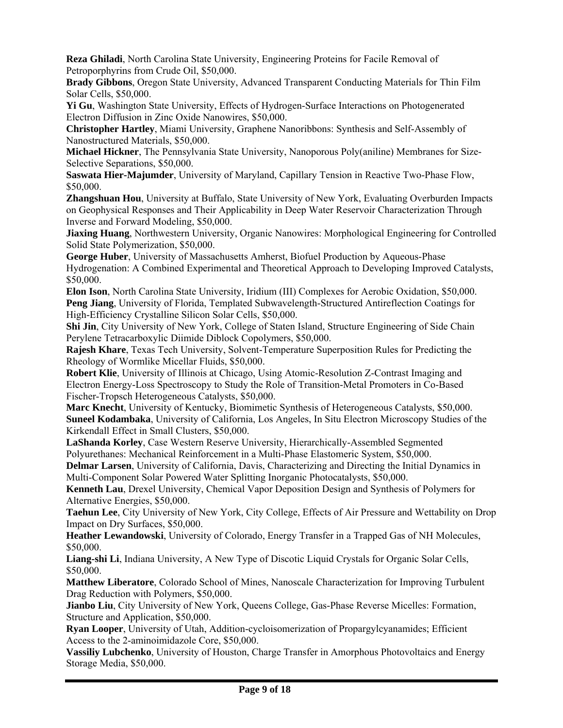**Reza Ghiladi**, North Carolina State University, Engineering Proteins for Facile Removal of Petroporphyrins from Crude Oil, \$50,000.

**Brady Gibbons**, Oregon State University, Advanced Transparent Conducting Materials for Thin Film Solar Cells, \$50,000.

**Yi Gu**, Washington State University, Effects of Hydrogen-Surface Interactions on Photogenerated Electron Diffusion in Zinc Oxide Nanowires, \$50,000.

**Christopher Hartley**, Miami University, Graphene Nanoribbons: Synthesis and Self-Assembly of Nanostructured Materials, \$50,000.

**Michael Hickner**, The Pennsylvania State University, Nanoporous Poly(aniline) Membranes for Size-Selective Separations, \$50,000.

**Saswata Hier-Majumder**, University of Maryland, Capillary Tension in Reactive Two-Phase Flow, \$50,000.

**Zhangshuan Hou**, University at Buffalo, State University of New York, Evaluating Overburden Impacts on Geophysical Responses and Their Applicability in Deep Water Reservoir Characterization Through Inverse and Forward Modeling, \$50,000.

**Jiaxing Huang**, Northwestern University, Organic Nanowires: Morphological Engineering for Controlled Solid State Polymerization, \$50,000.

**George Huber**, University of Massachusetts Amherst, Biofuel Production by Aqueous-Phase Hydrogenation: A Combined Experimental and Theoretical Approach to Developing Improved Catalysts, \$50,000.

**Elon Ison**, North Carolina State University, Iridium (III) Complexes for Aerobic Oxidation, \$50,000. **Peng Jiang**, University of Florida, Templated Subwavelength-Structured Antireflection Coatings for High-Efficiency Crystalline Silicon Solar Cells, \$50,000.

**Shi Jin**, City University of New York, College of Staten Island, Structure Engineering of Side Chain Perylene Tetracarboxylic Diimide Diblock Copolymers, \$50,000.

**Rajesh Khare**, Texas Tech University, Solvent-Temperature Superposition Rules for Predicting the Rheology of Wormlike Micellar Fluids, \$50,000.

**Robert Klie**, University of Illinois at Chicago, Using Atomic-Resolution Z-Contrast Imaging and Electron Energy-Loss Spectroscopy to Study the Role of Transition-Metal Promoters in Co-Based Fischer-Tropsch Heterogeneous Catalysts, \$50,000.

**Marc Knecht**, University of Kentucky, Biomimetic Synthesis of Heterogeneous Catalysts, \$50,000. **Suneel Kodambaka**, University of California, Los Angeles, In Situ Electron Microscopy Studies of the Kirkendall Effect in Small Clusters, \$50,000.

**LaShanda Korley**, Case Western Reserve University, Hierarchically-Assembled Segmented Polyurethanes: Mechanical Reinforcement in a Multi-Phase Elastomeric System, \$50,000.

**Delmar Larsen**, University of California, Davis, Characterizing and Directing the Initial Dynamics in Multi-Component Solar Powered Water Splitting Inorganic Photocatalysts, \$50,000.

**Kenneth Lau**, Drexel University, Chemical Vapor Deposition Design and Synthesis of Polymers for Alternative Energies, \$50,000.

**Taehun Lee**, City University of New York, City College, Effects of Air Pressure and Wettability on Drop Impact on Dry Surfaces, \$50,000.

**Heather Lewandowski**, University of Colorado, Energy Transfer in a Trapped Gas of NH Molecules, \$50,000.

**Liang-shi Li**, Indiana University, A New Type of Discotic Liquid Crystals for Organic Solar Cells, \$50,000.

**Matthew Liberatore**, Colorado School of Mines, Nanoscale Characterization for Improving Turbulent Drag Reduction with Polymers, \$50,000.

**Jianbo Liu**, City University of New York, Queens College, Gas-Phase Reverse Micelles: Formation, Structure and Application, \$50,000.

**Ryan Looper**, University of Utah, Addition-cycloisomerization of Propargylcyanamides; Efficient Access to the 2-aminoimidazole Core, \$50,000.

**Vassiliy Lubchenko**, University of Houston, Charge Transfer in Amorphous Photovoltaics and Energy Storage Media, \$50,000.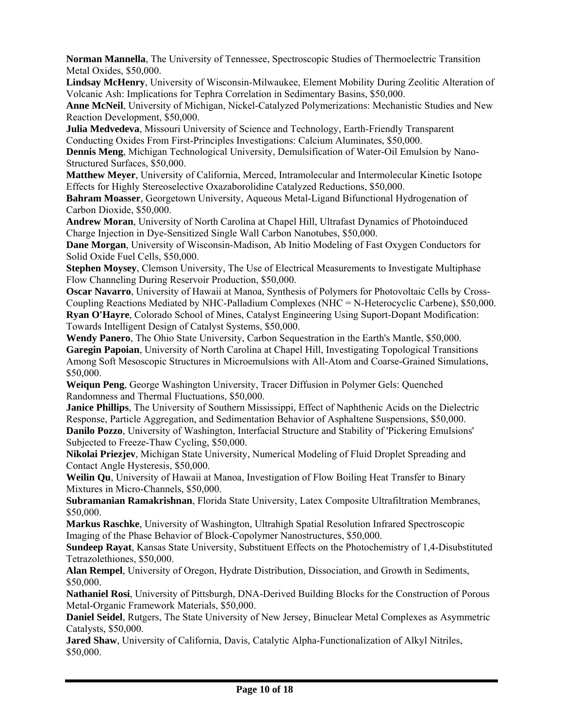**Norman Mannella**, The University of Tennessee, Spectroscopic Studies of Thermoelectric Transition Metal Oxides, \$50,000.

**Lindsay McHenry**, University of Wisconsin-Milwaukee, Element Mobility During Zeolitic Alteration of Volcanic Ash: Implications for Tephra Correlation in Sedimentary Basins, \$50,000.

**Anne McNeil**, University of Michigan, Nickel-Catalyzed Polymerizations: Mechanistic Studies and New Reaction Development, \$50,000.

**Julia Medvedeva**, Missouri University of Science and Technology, Earth-Friendly Transparent Conducting Oxides From First-Principles Investigations: Calcium Aluminates, \$50,000.

**Dennis Meng**, Michigan Technological University, Demulsification of Water-Oil Emulsion by Nano-Structured Surfaces, \$50,000.

**Matthew Meyer**, University of California, Merced, Intramolecular and Intermolecular Kinetic Isotope Effects for Highly Stereoselective Oxazaborolidine Catalyzed Reductions, \$50,000.

**Bahram Moasser**, Georgetown University, Aqueous Metal-Ligand Bifunctional Hydrogenation of Carbon Dioxide, \$50,000.

**Andrew Moran**, University of North Carolina at Chapel Hill, Ultrafast Dynamics of Photoinduced Charge Injection in Dye-Sensitized Single Wall Carbon Nanotubes, \$50,000.

**Dane Morgan**, University of Wisconsin-Madison, Ab Initio Modeling of Fast Oxygen Conductors for Solid Oxide Fuel Cells, \$50,000.

**Stephen Moysey**, Clemson University, The Use of Electrical Measurements to Investigate Multiphase Flow Channeling During Reservoir Production, \$50,000.

**Oscar Navarro**, University of Hawaii at Manoa, Synthesis of Polymers for Photovoltaic Cells by Cross-Coupling Reactions Mediated by NHC-Palladium Complexes (NHC = N-Heterocyclic Carbene), \$50,000. **Ryan O'Hayre**, Colorado School of Mines, Catalyst Engineering Using Suport-Dopant Modification: Towards Intelligent Design of Catalyst Systems, \$50,000.

**Wendy Panero**, The Ohio State University, Carbon Sequestration in the Earth's Mantle, \$50,000. **Garegin Papoian**, University of North Carolina at Chapel Hill, Investigating Topological Transitions Among Soft Mesoscopic Structures in Microemulsions with All-Atom and Coarse-Grained Simulations, \$50,000.

**Weiqun Peng**, George Washington University, Tracer Diffusion in Polymer Gels: Quenched Randomness and Thermal Fluctuations, \$50,000.

**Janice Phillips**, The University of Southern Mississippi, Effect of Naphthenic Acids on the Dielectric Response, Particle Aggregation, and Sedimentation Behavior of Asphaltene Suspensions, \$50,000. **Danilo Pozzo**, University of Washington, Interfacial Structure and Stability of 'Pickering Emulsions' Subjected to Freeze-Thaw Cycling, \$50,000.

**Nikolai Priezjev**, Michigan State University, Numerical Modeling of Fluid Droplet Spreading and Contact Angle Hysteresis, \$50,000.

**Weilin Qu**, University of Hawaii at Manoa, Investigation of Flow Boiling Heat Transfer to Binary Mixtures in Micro-Channels, \$50,000.

**Subramanian Ramakrishnan**, Florida State University, Latex Composite Ultrafiltration Membranes, \$50,000.

**Markus Raschke**, University of Washington, Ultrahigh Spatial Resolution Infrared Spectroscopic Imaging of the Phase Behavior of Block-Copolymer Nanostructures, \$50,000.

**Sundeep Rayat**, Kansas State University, Substituent Effects on the Photochemistry of 1,4-Disubstituted Tetrazolethiones, \$50,000.

**Alan Rempel**, University of Oregon, Hydrate Distribution, Dissociation, and Growth in Sediments, \$50,000.

**Nathaniel Rosi**, University of Pittsburgh, DNA-Derived Building Blocks for the Construction of Porous Metal-Organic Framework Materials, \$50,000.

**Daniel Seidel**, Rutgers, The State University of New Jersey, Binuclear Metal Complexes as Asymmetric Catalysts, \$50,000.

**Jared Shaw**, University of California, Davis, Catalytic Alpha-Functionalization of Alkyl Nitriles, \$50,000.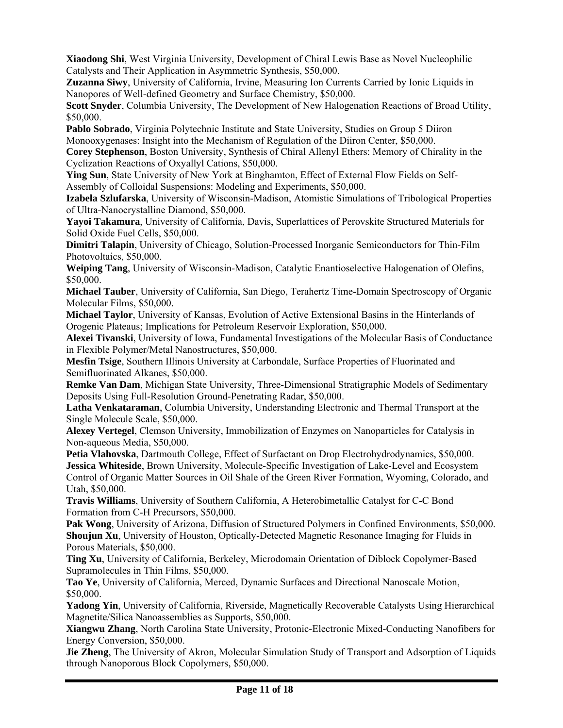**Xiaodong Shi**, West Virginia University, Development of Chiral Lewis Base as Novel Nucleophilic Catalysts and Their Application in Asymmetric Synthesis, \$50,000.

**Zuzanna Siwy**, University of California, Irvine, Measuring Ion Currents Carried by Ionic Liquids in Nanopores of Well-defined Geometry and Surface Chemistry, \$50,000.

**Scott Snyder**, Columbia University, The Development of New Halogenation Reactions of Broad Utility, \$50,000.

**Pablo Sobrado**, Virginia Polytechnic Institute and State University, Studies on Group 5 Diiron Monooxygenases: Insight into the Mechanism of Regulation of the Diiron Center, \$50,000.

**Corey Stephenson**, Boston University, Synthesis of Chiral Allenyl Ethers: Memory of Chirality in the Cyclization Reactions of Oxyallyl Cations, \$50,000.

**Ying Sun**, State University of New York at Binghamton, Effect of External Flow Fields on Self-Assembly of Colloidal Suspensions: Modeling and Experiments, \$50,000.

**Izabela Szlufarska**, University of Wisconsin-Madison, Atomistic Simulations of Tribological Properties of Ultra-Nanocrystalline Diamond, \$50,000.

**Yayoi Takamura**, University of California, Davis, Superlattices of Perovskite Structured Materials for Solid Oxide Fuel Cells, \$50,000.

**Dimitri Talapin**, University of Chicago, Solution-Processed Inorganic Semiconductors for Thin-Film Photovoltaics, \$50,000.

**Weiping Tang**, University of Wisconsin-Madison, Catalytic Enantioselective Halogenation of Olefins, \$50,000.

**Michael Tauber**, University of California, San Diego, Terahertz Time-Domain Spectroscopy of Organic Molecular Films, \$50,000.

**Michael Taylor**, University of Kansas, Evolution of Active Extensional Basins in the Hinterlands of Orogenic Plateaus; Implications for Petroleum Reservoir Exploration, \$50,000.

**Alexei Tivanski**, University of Iowa, Fundamental Investigations of the Molecular Basis of Conductance in Flexible Polymer/Metal Nanostructures, \$50,000.

**Mesfin Tsige**, Southern Illinois University at Carbondale, Surface Properties of Fluorinated and Semifluorinated Alkanes, \$50,000.

**Remke Van Dam**, Michigan State University, Three-Dimensional Stratigraphic Models of Sedimentary Deposits Using Full-Resolution Ground-Penetrating Radar, \$50,000.

**Latha Venkataraman**, Columbia University, Understanding Electronic and Thermal Transport at the Single Molecule Scale, \$50,000.

**Alexey Vertegel**, Clemson University, Immobilization of Enzymes on Nanoparticles for Catalysis in Non-aqueous Media, \$50,000.

**Petia Vlahovska**, Dartmouth College, Effect of Surfactant on Drop Electrohydrodynamics, \$50,000. **Jessica Whiteside**, Brown University, Molecule-Specific Investigation of Lake-Level and Ecosystem Control of Organic Matter Sources in Oil Shale of the Green River Formation, Wyoming, Colorado, and Utah, \$50,000.

**Travis Williams**, University of Southern California, A Heterobimetallic Catalyst for C-C Bond Formation from C-H Precursors, \$50,000.

**Pak Wong**, University of Arizona, Diffusion of Structured Polymers in Confined Environments, \$50,000. **Shoujun Xu**, University of Houston, Optically-Detected Magnetic Resonance Imaging for Fluids in Porous Materials, \$50,000.

**Ting Xu**, University of California, Berkeley, Microdomain Orientation of Diblock Copolymer-Based Supramolecules in Thin Films, \$50,000.

**Tao Ye**, University of California, Merced, Dynamic Surfaces and Directional Nanoscale Motion, \$50,000.

**Yadong Yin**, University of California, Riverside, Magnetically Recoverable Catalysts Using Hierarchical Magnetite/Silica Nanoassemblies as Supports, \$50,000.

**Xiangwu Zhang**, North Carolina State University, Protonic-Electronic Mixed-Conducting Nanofibers for Energy Conversion, \$50,000.

**Jie Zheng**, The University of Akron, Molecular Simulation Study of Transport and Adsorption of Liquids through Nanoporous Block Copolymers, \$50,000.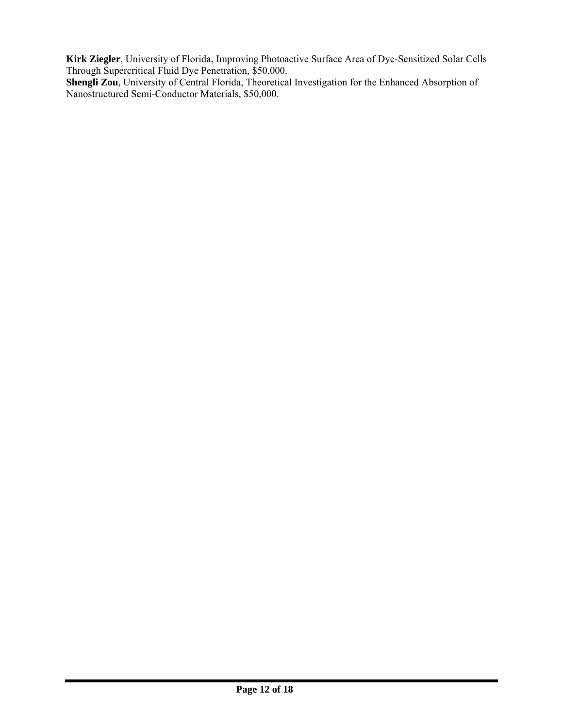**Kirk Ziegler**, University of Florida, Improving Photoactive Surface Area of Dye-Sensitized Solar Cells Through Supercritical Fluid Dye Penetration, \$50,000.

**Shengli Zou**, University of Central Florida, Theoretical Investigation for the Enhanced Absorption of Nanostructured Semi-Conductor Materials, \$50,000.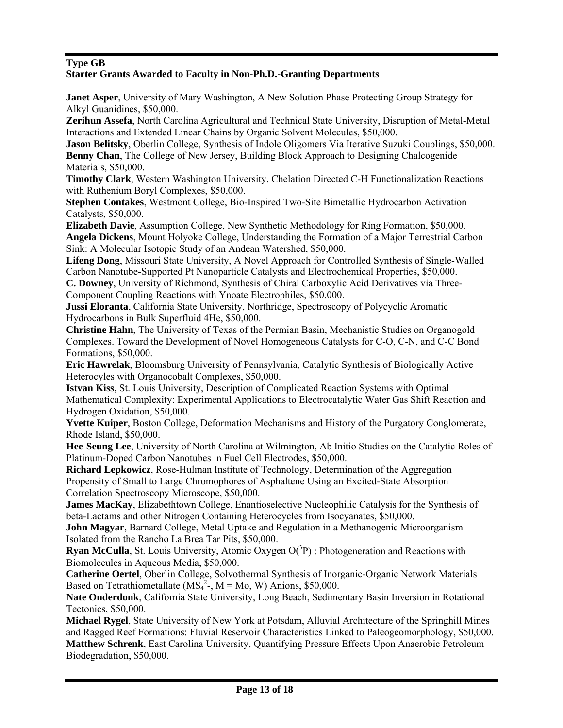## **Type GB**

### **Starter Grants Awarded to Faculty in Non-Ph.D.-Granting Departments**

**Janet Asper**, University of Mary Washington, A New Solution Phase Protecting Group Strategy for Alkyl Guanidines, \$50,000.

**Zerihun Assefa**, North Carolina Agricultural and Technical State University, Disruption of Metal-Metal Interactions and Extended Linear Chains by Organic Solvent Molecules, \$50,000.

**Jason Belitsky**, Oberlin College, Synthesis of Indole Oligomers Via Iterative Suzuki Couplings, \$50,000. **Benny Chan**, The College of New Jersey, Building Block Approach to Designing Chalcogenide Materials, \$50,000.

**Timothy Clark**, Western Washington University, Chelation Directed C-H Functionalization Reactions with Ruthenium Boryl Complexes, \$50,000.

**Stephen Contakes**, Westmont College, Bio-Inspired Two-Site Bimetallic Hydrocarbon Activation Catalysts, \$50,000.

**Elizabeth Davie**, Assumption College, New Synthetic Methodology for Ring Formation, \$50,000. **Angela Dickens**, Mount Holyoke College, Understanding the Formation of a Major Terrestrial Carbon Sink: A Molecular Isotopic Study of an Andean Watershed, \$50,000.

**Lifeng Dong**, Missouri State University, A Novel Approach for Controlled Synthesis of Single-Walled Carbon Nanotube-Supported Pt Nanoparticle Catalysts and Electrochemical Properties, \$50,000.

**C. Downey**, University of Richmond, Synthesis of Chiral Carboxylic Acid Derivatives via Three-Component Coupling Reactions with Ynoate Electrophiles, \$50,000.

**Jussi Eloranta**, California State University, Northridge, Spectroscopy of Polycyclic Aromatic Hydrocarbons in Bulk Superfluid 4He, \$50,000.

**Christine Hahn**, The University of Texas of the Permian Basin, Mechanistic Studies on Organogold Complexes. Toward the Development of Novel Homogeneous Catalysts for C-O, C-N, and C-C Bond Formations, \$50,000.

**Eric Hawrelak**, Bloomsburg University of Pennsylvania, Catalytic Synthesis of Biologically Active Heterocyles with Organocobalt Complexes, \$50,000.

**Istvan Kiss**, St. Louis University, Description of Complicated Reaction Systems with Optimal Mathematical Complexity: Experimental Applications to Electrocatalytic Water Gas Shift Reaction and Hydrogen Oxidation, \$50,000.

**Yvette Kuiper**, Boston College, Deformation Mechanisms and History of the Purgatory Conglomerate, Rhode Island, \$50,000.

**Hee-Seung Lee**, University of North Carolina at Wilmington, Ab Initio Studies on the Catalytic Roles of Platinum-Doped Carbon Nanotubes in Fuel Cell Electrodes, \$50,000.

**Richard Lepkowicz**, Rose-Hulman Institute of Technology, Determination of the Aggregation Propensity of Small to Large Chromophores of Asphaltene Using an Excited-State Absorption Correlation Spectroscopy Microscope, \$50,000.

**James MacKay**, Elizabethtown College, Enantioselective Nucleophilic Catalysis for the Synthesis of beta-Lactams and other Nitrogen Containing Heterocycles from Isocyanates, \$50,000.

**John Magyar**, Barnard College, Metal Uptake and Regulation in a Methanogenic Microorganism Isolated from the Rancho La Brea Tar Pits, \$50,000.

**Ryan McCulla**, St. Louis University, Atomic Oxygen  $O(^3P)$ : Photogeneration and Reactions with Biomolecules in Aqueous Media, \$50,000.

**Catherine Oertel**, Oberlin College, Solvothermal Synthesis of Inorganic-Organic Network Materials Based on Tetrathiometallate  $(MS<sub>4</sub><sup>2</sup> -$ ,  $M = Mo, W)$  Anions, \$50,000.

**Nate Onderdonk**, California State University, Long Beach, Sedimentary Basin Inversion in Rotational Tectonics, \$50,000.

**Michael Rygel**, State University of New York at Potsdam, Alluvial Architecture of the Springhill Mines and Ragged Reef Formations: Fluvial Reservoir Characteristics Linked to Paleogeomorphology, \$50,000. **Matthew Schrenk**, East Carolina University, Quantifying Pressure Effects Upon Anaerobic Petroleum Biodegradation, \$50,000.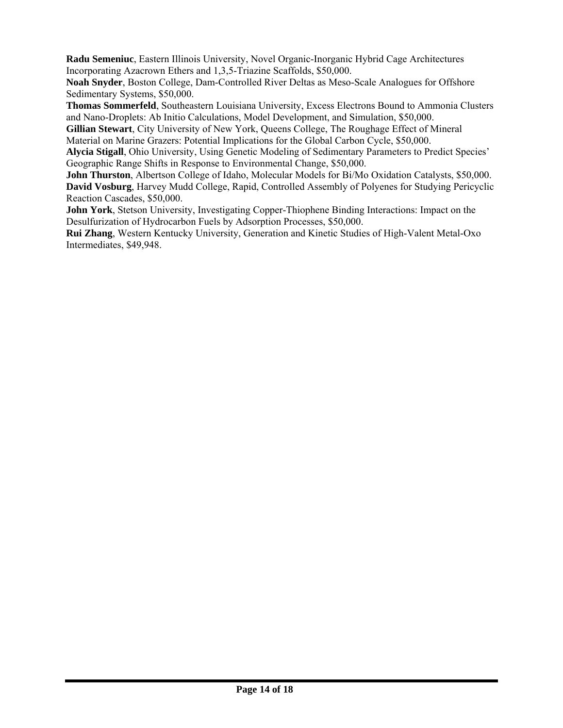**Radu Semeniuc**, Eastern Illinois University, Novel Organic-Inorganic Hybrid Cage Architectures Incorporating Azacrown Ethers and 1,3,5-Triazine Scaffolds, \$50,000.

**Noah Snyder**, Boston College, Dam-Controlled River Deltas as Meso-Scale Analogues for Offshore Sedimentary Systems, \$50,000.

**Thomas Sommerfeld**, Southeastern Louisiana University, Excess Electrons Bound to Ammonia Clusters and Nano-Droplets: Ab Initio Calculations, Model Development, and Simulation, \$50,000.

**Gillian Stewart**, City University of New York, Queens College, The Roughage Effect of Mineral Material on Marine Grazers: Potential Implications for the Global Carbon Cycle, \$50,000.

**Alycia Stigall**, Ohio University, Using Genetic Modeling of Sedimentary Parameters to Predict Species' Geographic Range Shifts in Response to Environmental Change, \$50,000.

**John Thurston**, Albertson College of Idaho, Molecular Models for Bi/Mo Oxidation Catalysts, \$50,000. **David Vosburg**, Harvey Mudd College, Rapid, Controlled Assembly of Polyenes for Studying Pericyclic Reaction Cascades, \$50,000.

**John York**, Stetson University, Investigating Copper-Thiophene Binding Interactions: Impact on the Desulfurization of Hydrocarbon Fuels by Adsorption Processes, \$50,000.

**Rui Zhang**, Western Kentucky University, Generation and Kinetic Studies of High-Valent Metal-Oxo Intermediates, \$49,948.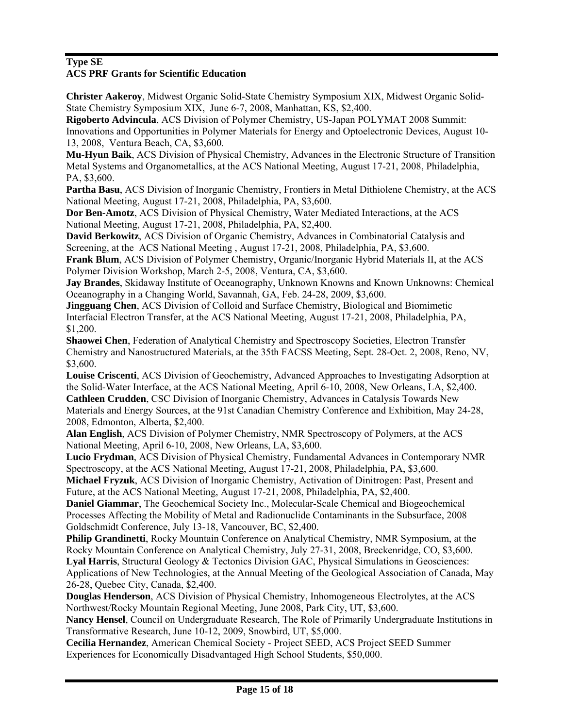# **Type SE**

# **ACS PRF Grants for Scientific Education**

**Christer Aakeroy**, Midwest Organic Solid-State Chemistry Symposium XIX, Midwest Organic Solid-State Chemistry Symposium XIX, June 6-7, 2008, Manhattan, KS, \$2,400.

**Rigoberto Advincula**, ACS Division of Polymer Chemistry, US-Japan POLYMAT 2008 Summit: Innovations and Opportunities in Polymer Materials for Energy and Optoelectronic Devices, August 10- 13, 2008, Ventura Beach, CA, \$3,600.

**Mu-Hyun Baik**, ACS Division of Physical Chemistry, Advances in the Electronic Structure of Transition Metal Systems and Organometallics, at the ACS National Meeting, August 17-21, 2008, Philadelphia, PA, \$3,600.

**Partha Basu**, ACS Division of Inorganic Chemistry, Frontiers in Metal Dithiolene Chemistry, at the ACS National Meeting, August 17-21, 2008, Philadelphia, PA, \$3,600.

**Dor Ben-Amotz**, ACS Division of Physical Chemistry, Water Mediated Interactions, at the ACS National Meeting, August 17-21, 2008, Philadelphia, PA, \$2,400.

**David Berkowitz**, ACS Division of Organic Chemistry, Advances in Combinatorial Catalysis and Screening, at the ACS National Meeting , August 17-21, 2008, Philadelphia, PA, \$3,600.

**Frank Blum**, ACS Division of Polymer Chemistry, Organic/Inorganic Hybrid Materials II, at the ACS Polymer Division Workshop, March 2-5, 2008, Ventura, CA, \$3,600.

**Jay Brandes**, Skidaway Institute of Oceanography, Unknown Knowns and Known Unknowns: Chemical Oceanography in a Changing World, Savannah, GA, Feb. 24-28, 2009, \$3,600.

**Jingguang Chen**, ACS Division of Colloid and Surface Chemistry, Biological and Biomimetic Interfacial Electron Transfer, at the ACS National Meeting, August 17-21, 2008, Philadelphia, PA, \$1,200.

**Shaowei Chen**, Federation of Analytical Chemistry and Spectroscopy Societies, Electron Transfer Chemistry and Nanostructured Materials, at the 35th FACSS Meeting, Sept. 28-Oct. 2, 2008, Reno, NV, \$3,600.

**Louise Criscenti**, ACS Division of Geochemistry, Advanced Approaches to Investigating Adsorption at the Solid-Water Interface, at the ACS National Meeting, April 6-10, 2008, New Orleans, LA, \$2,400. **Cathleen Crudden**, CSC Division of Inorganic Chemistry, Advances in Catalysis Towards New Materials and Energy Sources, at the 91st Canadian Chemistry Conference and Exhibition, May 24-28, 2008, Edmonton, Alberta, \$2,400.

**Alan English**, ACS Division of Polymer Chemistry, NMR Spectroscopy of Polymers, at the ACS National Meeting, April 6-10, 2008, New Orleans, LA, \$3,600.

**Lucio Frydman**, ACS Division of Physical Chemistry, Fundamental Advances in Contemporary NMR Spectroscopy, at the ACS National Meeting, August 17-21, 2008, Philadelphia, PA, \$3,600.

**Michael Fryzuk**, ACS Division of Inorganic Chemistry, Activation of Dinitrogen: Past, Present and Future, at the ACS National Meeting, August 17-21, 2008, Philadelphia, PA, \$2,400.

**Daniel Giammar**, The Geochemical Society Inc., Molecular-Scale Chemical and Biogeochemical Processes Affecting the Mobility of Metal and Radionuclide Contaminants in the Subsurface, 2008 Goldschmidt Conference, July 13-18, Vancouver, BC, \$2,400.

**Philip Grandinetti**, Rocky Mountain Conference on Analytical Chemistry, NMR Symposium, at the Rocky Mountain Conference on Analytical Chemistry, July 27-31, 2008, Breckenridge, CO, \$3,600. Lyal Harris, Structural Geology & Tectonics Division GAC, Physical Simulations in Geosciences:

Applications of New Technologies, at the Annual Meeting of the Geological Association of Canada, May 26-28, Quebec City, Canada, \$2,400.

**Douglas Henderson**, ACS Division of Physical Chemistry, Inhomogeneous Electrolytes, at the ACS Northwest/Rocky Mountain Regional Meeting, June 2008, Park City, UT, \$3,600.

**Nancy Hensel**, Council on Undergraduate Research, The Role of Primarily Undergraduate Institutions in Transformative Research, June 10-12, 2009, Snowbird, UT, \$5,000.

**Cecilia Hernandez**, American Chemical Society - Project SEED, ACS Project SEED Summer Experiences for Economically Disadvantaged High School Students, \$50,000.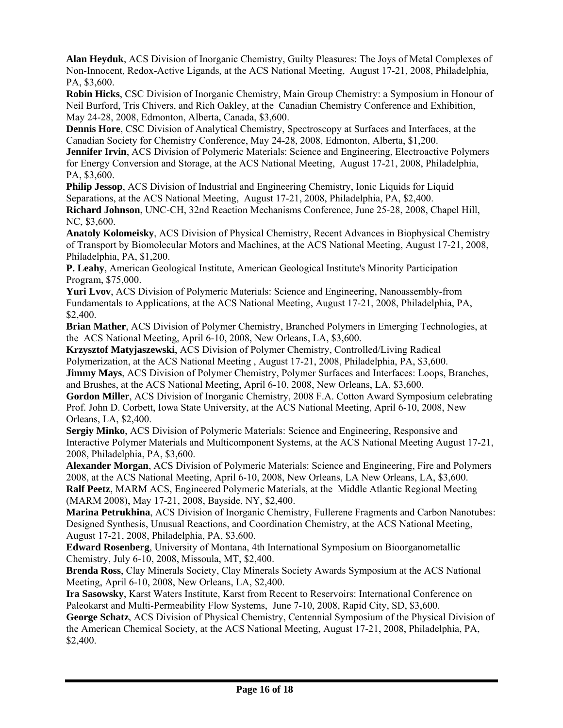**Alan Heyduk**, ACS Division of Inorganic Chemistry, Guilty Pleasures: The Joys of Metal Complexes of Non-Innocent, Redox-Active Ligands, at the ACS National Meeting, August 17-21, 2008, Philadelphia, PA, \$3,600.

**Robin Hicks**, CSC Division of Inorganic Chemistry, Main Group Chemistry: a Symposium in Honour of Neil Burford, Tris Chivers, and Rich Oakley, at the Canadian Chemistry Conference and Exhibition, May 24-28, 2008, Edmonton, Alberta, Canada, \$3,600.

**Dennis Hore**, CSC Division of Analytical Chemistry, Spectroscopy at Surfaces and Interfaces, at the Canadian Society for Chemistry Conference, May 24-28, 2008, Edmonton, Alberta, \$1,200.

**Jennifer Irvin**, ACS Division of Polymeric Materials: Science and Engineering, Electroactive Polymers for Energy Conversion and Storage, at the ACS National Meeting, August 17-21, 2008, Philadelphia, PA, \$3,600.

**Philip Jessop**, ACS Division of Industrial and Engineering Chemistry, Ionic Liquids for Liquid Separations, at the ACS National Meeting, August 17-21, 2008, Philadelphia, PA, \$2,400.

**Richard Johnson**, UNC-CH, 32nd Reaction Mechanisms Conference, June 25-28, 2008, Chapel Hill, NC, \$3,600.

**Anatoly Kolomeisky**, ACS Division of Physical Chemistry, Recent Advances in Biophysical Chemistry of Transport by Biomolecular Motors and Machines, at the ACS National Meeting, August 17-21, 2008, Philadelphia, PA, \$1,200.

**P. Leahy**, American Geological Institute, American Geological Institute's Minority Participation Program, \$75,000.

**Yuri Lvov**, ACS Division of Polymeric Materials: Science and Engineering, Nanoassembly-from Fundamentals to Applications, at the ACS National Meeting, August 17-21, 2008, Philadelphia, PA, \$2,400.

**Brian Mather**, ACS Division of Polymer Chemistry, Branched Polymers in Emerging Technologies, at the ACS National Meeting, April 6-10, 2008, New Orleans, LA, \$3,600.

**Krzysztof Matyjaszewski**, ACS Division of Polymer Chemistry, Controlled/Living Radical Polymerization, at the ACS National Meeting , August 17-21, 2008, Philadelphia, PA, \$3,600. **Jimmy Mays**, ACS Division of Polymer Chemistry, Polymer Surfaces and Interfaces: Loops, Branches, and Brushes, at the ACS National Meeting, April 6-10, 2008, New Orleans, LA, \$3,600.

**Gordon Miller**, ACS Division of Inorganic Chemistry, 2008 F.A. Cotton Award Symposium celebrating Prof. John D. Corbett, Iowa State University, at the ACS National Meeting, April 6-10, 2008, New Orleans, LA, \$2,400.

**Sergiy Minko**, ACS Division of Polymeric Materials: Science and Engineering, Responsive and Interactive Polymer Materials and Multicomponent Systems, at the ACS National Meeting August 17-21, 2008, Philadelphia, PA, \$3,600.

**Alexander Morgan**, ACS Division of Polymeric Materials: Science and Engineering, Fire and Polymers 2008, at the ACS National Meeting, April 6-10, 2008, New Orleans, LA New Orleans, LA, \$3,600.

**Ralf Peetz**, MARM ACS, Engineered Polymeric Materials, at the Middle Atlantic Regional Meeting (MARM 2008), May 17-21, 2008, Bayside, NY, \$2,400.

**Marina Petrukhina**, ACS Division of Inorganic Chemistry, Fullerene Fragments and Carbon Nanotubes: Designed Synthesis, Unusual Reactions, and Coordination Chemistry, at the ACS National Meeting, August 17-21, 2008, Philadelphia, PA, \$3,600.

**Edward Rosenberg**, University of Montana, 4th International Symposium on Bioorganometallic Chemistry, July 6-10, 2008, Missoula, MT, \$2,400.

**Brenda Ross**, Clay Minerals Society, Clay Minerals Society Awards Symposium at the ACS National Meeting, April 6-10, 2008, New Orleans, LA, \$2,400.

**Ira Sasowsky**, Karst Waters Institute, Karst from Recent to Reservoirs: International Conference on Paleokarst and Multi-Permeability Flow Systems, June 7-10, 2008, Rapid City, SD, \$3,600.

**George Schatz**, ACS Division of Physical Chemistry, Centennial Symposium of the Physical Division of the American Chemical Society, at the ACS National Meeting, August 17-21, 2008, Philadelphia, PA, \$2,400.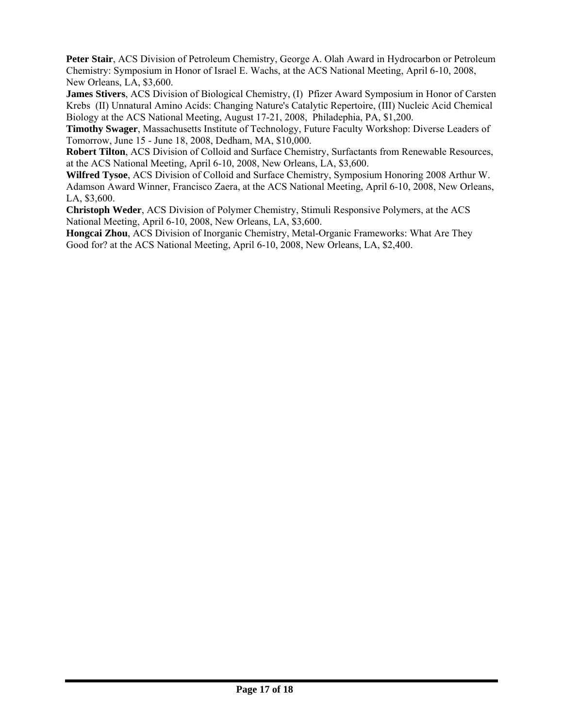**Peter Stair**, ACS Division of Petroleum Chemistry, George A. Olah Award in Hydrocarbon or Petroleum Chemistry: Symposium in Honor of Israel E. Wachs, at the ACS National Meeting, April 6-10, 2008, New Orleans, LA, \$3,600.

**James Stivers**, ACS Division of Biological Chemistry, (I) Pfizer Award Symposium in Honor of Carsten Krebs (II) Unnatural Amino Acids: Changing Nature's Catalytic Repertoire, (III) Nucleic Acid Chemical Biology at the ACS National Meeting, August 17-21, 2008, Philadephia, PA, \$1,200.

**Timothy Swager**, Massachusetts Institute of Technology, Future Faculty Workshop: Diverse Leaders of Tomorrow, June 15 - June 18, 2008, Dedham, MA, \$10,000.

**Robert Tilton**, ACS Division of Colloid and Surface Chemistry, Surfactants from Renewable Resources, at the ACS National Meeting, April 6-10, 2008, New Orleans, LA, \$3,600.

**Wilfred Tysoe**, ACS Division of Colloid and Surface Chemistry, Symposium Honoring 2008 Arthur W. Adamson Award Winner, Francisco Zaera, at the ACS National Meeting, April 6-10, 2008, New Orleans, LA, \$3,600.

**Christoph Weder**, ACS Division of Polymer Chemistry, Stimuli Responsive Polymers, at the ACS National Meeting, April 6-10, 2008, New Orleans, LA, \$3,600.

**Hongcai Zhou**, ACS Division of Inorganic Chemistry, Metal-Organic Frameworks: What Are They Good for? at the ACS National Meeting, April 6-10, 2008, New Orleans, LA, \$2,400.